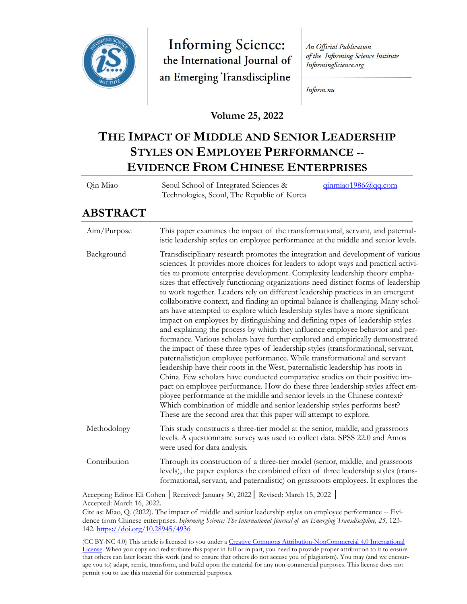

**Informing Science:** the International Journal of an Emerging Transdiscipline

An Official Publication of the Informing Science Institute InformingScience.org

Inform.nu

**Volume 25, 2022**

# **THE IMPACT OF MIDDLE AND SENIOR LEADERSHIP STYLES ON EMPLOYEE PERFORMANCE -- EVIDENCE FROM CHINESE ENTERPRISES**

| Qin Miao | Seoul School of Integrated Sciences &      | qinmiao1986@qq.com |
|----------|--------------------------------------------|--------------------|
|          | Technologies, Seoul, The Republic of Korea |                    |

# **ABSTRACT**

| Aim/Purpose  | This paper examines the impact of the transformational, servant, and paternal-<br>istic leadership styles on employee performance at the middle and senior levels.                                                                                                                                                                                                                                                                                                                                                                                                                                                                                                                                                                                                                                                                                                                                                                                                                                                                                                                                                                                                                                                                                                                                                                                                                                                                                                                                        |
|--------------|-----------------------------------------------------------------------------------------------------------------------------------------------------------------------------------------------------------------------------------------------------------------------------------------------------------------------------------------------------------------------------------------------------------------------------------------------------------------------------------------------------------------------------------------------------------------------------------------------------------------------------------------------------------------------------------------------------------------------------------------------------------------------------------------------------------------------------------------------------------------------------------------------------------------------------------------------------------------------------------------------------------------------------------------------------------------------------------------------------------------------------------------------------------------------------------------------------------------------------------------------------------------------------------------------------------------------------------------------------------------------------------------------------------------------------------------------------------------------------------------------------------|
| Background   | Transdisciplinary research promotes the integration and development of various<br>sciences. It provides more choices for leaders to adopt ways and practical activi-<br>ties to promote enterprise development. Complexity leadership theory empha-<br>sizes that effectively functioning organizations need distinct forms of leadership<br>to work together. Leaders rely on different leadership practices in an emergent<br>collaborative context, and finding an optimal balance is challenging. Many schol-<br>ars have attempted to explore which leadership styles have a more significant<br>impact on employees by distinguishing and defining types of leadership styles<br>and explaining the process by which they influence employee behavior and per-<br>formance. Various scholars have further explored and empirically demonstrated<br>the impact of these three types of leadership styles (transformational, servant,<br>paternalistic) on employee performance. While transformational and servant<br>leadership have their roots in the West, paternalistic leadership has roots in<br>China. Few scholars have conducted comparative studies on their positive im-<br>pact on employee performance. How do these three leadership styles affect em-<br>ployee performance at the middle and senior levels in the Chinese context?<br>Which combination of middle and senior leadership styles performs best?<br>These are the second area that this paper will attempt to explore. |
| Methodology  | This study constructs a three-tier model at the senior, middle, and grassroots<br>levels. A questionnaire survey was used to collect data. SPSS 22.0 and Amos<br>were used for data analysis.                                                                                                                                                                                                                                                                                                                                                                                                                                                                                                                                                                                                                                                                                                                                                                                                                                                                                                                                                                                                                                                                                                                                                                                                                                                                                                             |
| Contribution | Through its construction of a three-tier model (senior, middle, and grassroots<br>levels), the paper explores the combined effect of three leadership styles (trans-<br>formational, servant, and paternalistic) on grassroots employees. It explores the                                                                                                                                                                                                                                                                                                                                                                                                                                                                                                                                                                                                                                                                                                                                                                                                                                                                                                                                                                                                                                                                                                                                                                                                                                                 |
|              | Accepting Editor Eli Cohen   Received: January 30, 2022   Revised: March 15, 2022                                                                                                                                                                                                                                                                                                                                                                                                                                                                                                                                                                                                                                                                                                                                                                                                                                                                                                                                                                                                                                                                                                                                                                                                                                                                                                                                                                                                                         |

Accepted: March 16, 2022.

(CC BY-NC 4.0) This article is licensed to you under a Creative Commons Attribution-[NonCommercial 4.0 International](https://creativecommons.org/licenses/by-nc/4.0/)  [License.](https://creativecommons.org/licenses/by-nc/4.0/) When you copy and redistribute this paper in full or in part, you need to provide proper attribution to it to ensure that others can later locate this work (and to ensure that others do not accuse you of plagiarism). You may (and we encourage you to) adapt, remix, transform, and build upon the material for any non-commercial purposes. This license does not permit you to use this material for commercial purposes.

Cite as: Miao, Q. (2022). The impact of middle and senior leadership styles on employee performance -- Evidence from Chinese enterprises. *Informing Science: The International Journal of an Emerging Transdiscipline, 25,* 123- 142[. https://doi.org/10.28945/4936](https://doi.org/10.28945/4936)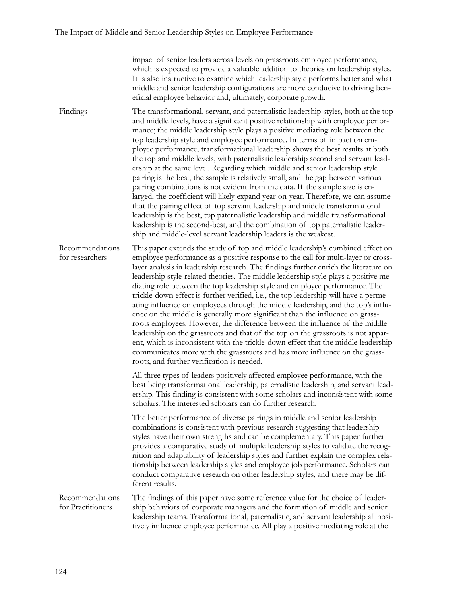impact of senior leaders across levels on grassroots employee performance, which is expected to provide a valuable addition to theories on leadership styles. It is also instructive to examine which leadership style performs better and what middle and senior leadership configurations are more conducive to driving beneficial employee behavior and, ultimately, corporate growth.

Findings The transformational, servant, and paternalistic leadership styles, both at the top and middle levels, have a significant positive relationship with employee performance; the middle leadership style plays a positive mediating role between the top leadership style and employee performance. In terms of impact on employee performance, transformational leadership shows the best results at both the top and middle levels, with paternalistic leadership second and servant leadership at the same level. Regarding which middle and senior leadership style pairing is the best, the sample is relatively small, and the gap between various pairing combinations is not evident from the data. If the sample size is enlarged, the coefficient will likely expand year-on-year. Therefore, we can assume that the pairing effect of top servant leadership and middle transformational leadership is the best, top paternalistic leadership and middle transformational leadership is the second-best, and the combination of top paternalistic leadership and middle-level servant leadership leaders is the weakest.

Recommendations for researchers This paper extends the study of top and middle leadership's combined effect on employee performance as a positive response to the call for multi-layer or crosslayer analysis in leadership research. The findings further enrich the literature on leadership style-related theories. The middle leadership style plays a positive mediating role between the top leadership style and employee performance. The trickle-down effect is further verified, i.e., the top leadership will have a permeating influence on employees through the middle leadership, and the top's influence on the middle is generally more significant than the influence on grassroots employees. However, the difference between the influence of the middle leadership on the grassroots and that of the top on the grassroots is not apparent, which is inconsistent with the trickle-down effect that the middle leadership communicates more with the grassroots and has more influence on the grassroots, and further verification is needed.

> All three types of leaders positively affected employee performance, with the best being transformational leadership, paternalistic leadership, and servant leadership. This finding is consistent with some scholars and inconsistent with some scholars. The interested scholars can do further research.

> The better performance of diverse pairings in middle and senior leadership combinations is consistent with previous research suggesting that leadership styles have their own strengths and can be complementary. This paper further provides a comparative study of multiple leadership styles to validate the recognition and adaptability of leadership styles and further explain the complex relationship between leadership styles and employee job performance. Scholars can conduct comparative research on other leadership styles, and there may be different results.

Recommendations for Practitioners The findings of this paper have some reference value for the choice of leadership behaviors of corporate managers and the formation of middle and senior leadership teams. Transformational, paternalistic, and servant leadership all positively influence employee performance. All play a positive mediating role at the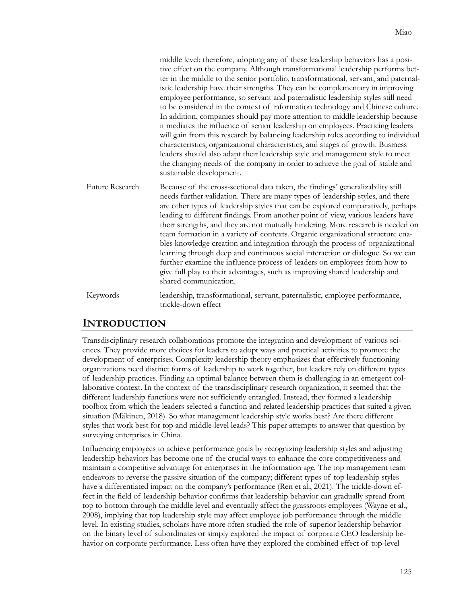|                 | middle level; therefore, adopting any of these leadership behaviors has a posi-<br>tive effect on the company. Although transformational leadership performs bet-<br>ter in the middle to the senior portfolio, transformational, servant, and paternal-<br>istic leadership have their strengths. They can be complementary in improving<br>employee performance, so servant and paternalistic leadership styles still need<br>to be considered in the context of information technology and Chinese culture.<br>In addition, companies should pay more attention to middle leadership because<br>it mediates the influence of senior leadership on employees. Practicing leaders<br>will gain from this research by balancing leadership roles according to individual<br>characteristics, organizational characteristics, and stages of growth. Business<br>leaders should also adapt their leadership style and management style to meet<br>the changing needs of the company in order to achieve the goal of stable and<br>sustainable development. |
|-----------------|----------------------------------------------------------------------------------------------------------------------------------------------------------------------------------------------------------------------------------------------------------------------------------------------------------------------------------------------------------------------------------------------------------------------------------------------------------------------------------------------------------------------------------------------------------------------------------------------------------------------------------------------------------------------------------------------------------------------------------------------------------------------------------------------------------------------------------------------------------------------------------------------------------------------------------------------------------------------------------------------------------------------------------------------------------|
| Future Research | Because of the cross-sectional data taken, the findings' generalizability still<br>needs further validation. There are many types of leadership styles, and there<br>are other types of leadership styles that can be explored comparatively, perhaps<br>leading to different findings. From another point of view, various leaders have<br>their strengths, and they are not mutually hindering. More research is needed on<br>team formation in a variety of contexts. Organic organizational structure ena-<br>bles knowledge creation and integration through the process of organizational<br>learning through deep and continuous social interaction or dialogue. So we can<br>further examine the influence process of leaders on employees from how to<br>give full play to their advantages, such as improving shared leadership and<br>shared communication.                                                                                                                                                                                   |
| Keywords        | leadership, transformational, servant, paternalistic, employee performance,<br>trickle-down effect                                                                                                                                                                                                                                                                                                                                                                                                                                                                                                                                                                                                                                                                                                                                                                                                                                                                                                                                                       |

## **INTRODUCTION**

Transdisciplinary research collaborations promote the integration and development of various sciences. They provide more choices for leaders to adopt ways and practical activities to promote the development of enterprises. Complexity leadership theory emphasizes that effectively functioning organizations need distinct forms of leadership to work together, but leaders rely on different types of leadership practices. Finding an optimal balance between them is challenging in an emergent collaborative context. In the context of the transdisciplinary research organization, it seemed that the different leadership functions were not sufficiently entangled. Instead, they formed a leadership toolbox from which the leaders selected a function and related leadership practices that suited a given situation (Mäkinen, 2018). So what management leadership style works best? Are there different styles that work best for top and middle-level leads? This paper attempts to answer that question by surveying enterprises in China.

Influencing employees to achieve performance goals by recognizing leadership styles and adjusting leadership behaviors has become one of the crucial ways to enhance the core competitiveness and maintain a competitive advantage for enterprises in the information age. The top management team endeavors to reverse the passive situation of the company; different types of top leadership styles have a differentiated impact on the company's performance (Ren et al., 2021). The trickle-down effect in the field of leadership behavior confirms that leadership behavior can gradually spread from top to bottom through the middle level and eventually affect the grassroots employees (Wayne et al., 2008), implying that top leadership style may affect employee job performance through the middle level. In existing studies, scholars have more often studied the role of superior leadership behavior on the binary level of subordinates or simply explored the impact of corporate CEO leadership behavior on corporate performance. Less often have they explored the combined effect of top-level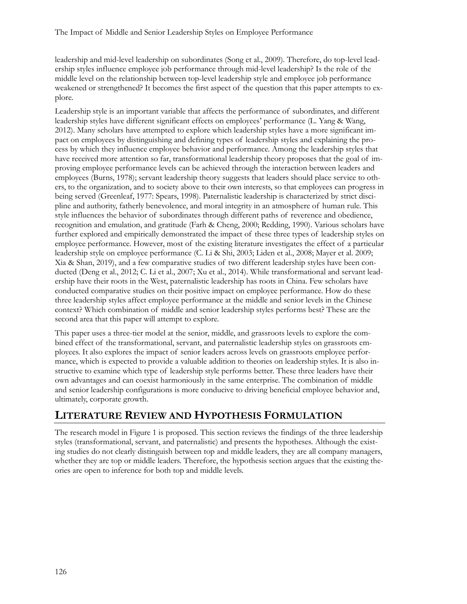leadership and mid-level leadership on subordinates (Song et al., 2009). Therefore, do top-level leadership styles influence employee job performance through mid-level leadership? Is the role of the middle level on the relationship between top-level leadership style and employee job performance weakened or strengthened? It becomes the first aspect of the question that this paper attempts to explore.

Leadership style is an important variable that affects the performance of subordinates, and different leadership styles have different significant effects on employees' performance (L. Yang & Wang, 2012). Many scholars have attempted to explore which leadership styles have a more significant impact on employees by distinguishing and defining types of leadership styles and explaining the process by which they influence employee behavior and performance. Among the leadership styles that have received more attention so far, transformational leadership theory proposes that the goal of improving employee performance levels can be achieved through the interaction between leaders and employees (Burns, 1978); servant leadership theory suggests that leaders should place service to others, to the organization, and to society above to their own interests, so that employees can progress in being served (Greenleaf, 1977: Spears, 1998). Paternalistic leadership is characterized by strict discipline and authority, fatherly benevolence, and moral integrity in an atmosphere of human rule. This style influences the behavior of subordinates through different paths of reverence and obedience, recognition and emulation, and gratitude (Farh & Cheng, 2000; Redding, 1990). Various scholars have further explored and empirically demonstrated the impact of these three types of leadership styles on employee performance. However, most of the existing literature investigates the effect of a particular leadership style on employee performance (C. Li & Shi, 2003; Liden et al., 2008; Mayer et al. 2009; Xia & Shan, 2019), and a few comparative studies of two different leadership styles have been conducted (Deng et al., 2012; C. Li et al., 2007; Xu et al., 2014). While transformational and servant leadership have their roots in the West, paternalistic leadership has roots in China. Few scholars have conducted comparative studies on their positive impact on employee performance. How do these three leadership styles affect employee performance at the middle and senior levels in the Chinese context? Which combination of middle and senior leadership styles performs best? These are the second area that this paper will attempt to explore.

This paper uses a three-tier model at the senior, middle, and grassroots levels to explore the combined effect of the transformational, servant, and paternalistic leadership styles on grassroots employees. It also explores the impact of senior leaders across levels on grassroots employee performance, which is expected to provide a valuable addition to theories on leadership styles. It is also instructive to examine which type of leadership style performs better. These three leaders have their own advantages and can coexist harmoniously in the same enterprise. The combination of middle and senior leadership configurations is more conducive to driving beneficial employee behavior and, ultimately, corporate growth.

## **LITERATURE REVIEW AND HYPOTHESIS FORMULATION**

The research model in Figure 1 is proposed. This section reviews the findings of the three leadership styles (transformational, servant, and paternalistic) and presents the hypotheses. Although the existing studies do not clearly distinguish between top and middle leaders, they are all company managers, whether they are top or middle leaders. Therefore, the hypothesis section argues that the existing theories are open to inference for both top and middle levels.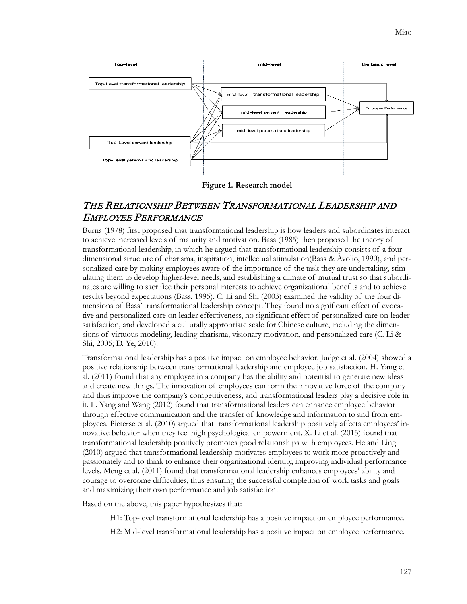

**Figure 1. Research model**

#### THE RELATIONSHIP BETWEEN TRANSFORMATIONAL LEADERSHIP AND EMPLOYEE PERFORMANCE

Burns (1978) first proposed that transformational leadership is how leaders and subordinates interact to achieve increased levels of maturity and motivation. Bass (1985) then proposed the theory of transformational leadership, in which he argued that transformational leadership consists of a fourdimensional structure of charisma, inspiration, intellectual stimulation(Bass & Avolio, 1990), and personalized care by making employees aware of the importance of the task they are undertaking, stimulating them to develop higher-level needs, and establishing a climate of mutual trust so that subordinates are willing to sacrifice their personal interests to achieve organizational benefits and to achieve results beyond expectations (Bass, 1995). C. Li and Shi (2003) examined the validity of the four dimensions of Bass' transformational leadership concept. They found no significant effect of evocative and personalized care on leader effectiveness, no significant effect of personalized care on leader satisfaction, and developed a culturally appropriate scale for Chinese culture, including the dimensions of virtuous modeling, leading charisma, visionary motivation, and personalized care (C. Li & Shi, 2005; D. Ye, 2010).

Transformational leadership has a positive impact on employee behavior. Judge et al. (2004) showed a positive relationship between transformational leadership and employee job satisfaction. H. Yang et al. (2011) found that any employee in a company has the ability and potential to generate new ideas and create new things. The innovation of employees can form the innovative force of the company and thus improve the company's competitiveness, and transformational leaders play a decisive role in it. L. Yang and Wang (2012) found that transformational leaders can enhance employee behavior through effective communication and the transfer of knowledge and information to and from employees. Pieterse et al. (2010) argued that transformational leadership positively affects employees' innovative behavior when they feel high psychological empowerment. X. Li et al. (2015) found that transformational leadership positively promotes good relationships with employees. He and Ling (2010) argued that transformational leadership motivates employees to work more proactively and passionately and to think to enhance their organizational identity, improving individual performance levels. Meng et al. (2011) found that transformational leadership enhances employees' ability and courage to overcome difficulties, thus ensuring the successful completion of work tasks and goals and maximizing their own performance and job satisfaction.

Based on the above, this paper hypothesizes that:

H1: Top-level transformational leadership has a positive impact on employee performance.

H2: Mid-level transformational leadership has a positive impact on employee performance.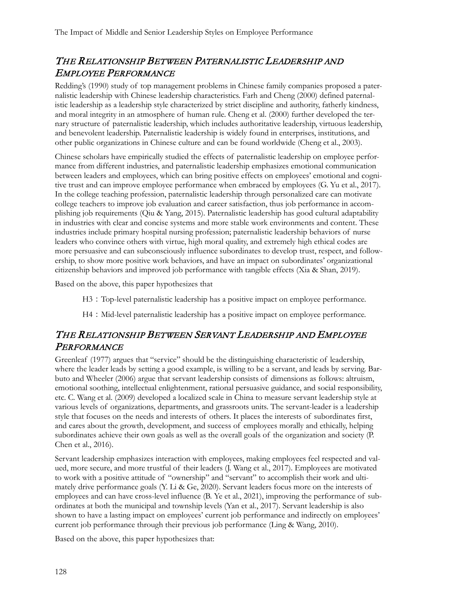## THE RELATIONSHIP BETWEEN PATERNALISTIC LEADERSHIP AND EMPLOYEE PERFORMANCE

Redding's (1990) study of top management problems in Chinese family companies proposed a paternalistic leadership with Chinese leadership characteristics. Farh and Cheng (2000) defined paternalistic leadership as a leadership style characterized by strict discipline and authority, fatherly kindness, and moral integrity in an atmosphere of human rule. Cheng et al. (2000) further developed the ternary structure of paternalistic leadership, which includes authoritative leadership, virtuous leadership, and benevolent leadership. Paternalistic leadership is widely found in enterprises, institutions, and other public organizations in Chinese culture and can be found worldwide (Cheng et al., 2003).

Chinese scholars have empirically studied the effects of paternalistic leadership on employee performance from different industries, and paternalistic leadership emphasizes emotional communication between leaders and employees, which can bring positive effects on employees' emotional and cognitive trust and can improve employee performance when embraced by employees (G. Yu et al., 2017). In the college teaching profession, paternalistic leadership through personalized care can motivate college teachers to improve job evaluation and career satisfaction, thus job performance in accomplishing job requirements (Qiu & Yang, 2015). Paternalistic leadership has good cultural adaptability in industries with clear and concise systems and more stable work environments and content. These industries include primary hospital nursing profession; paternalistic leadership behaviors of nurse leaders who convince others with virtue, high moral quality, and extremely high ethical codes are more persuasive and can subconsciously influence subordinates to develop trust, respect, and followership, to show more positive work behaviors, and have an impact on subordinates' organizational citizenship behaviors and improved job performance with tangible effects (Xia & Shan, 2019).

Based on the above, this paper hypothesizes that

H3:Top-level paternalistic leadership has a positive impact on employee performance.

H4: Mid-level paternalistic leadership has a positive impact on employee performance.

#### THE RELATIONSHIP BETWEEN SERVANT LEADERSHIP AND EMPLOYEE **PERFORMANCE**

Greenleaf (1977) argues that "service" should be the distinguishing characteristic of leadership, where the leader leads by setting a good example, is willing to be a servant, and leads by serving. Barbuto and Wheeler (2006) argue that servant leadership consists of dimensions as follows: altruism, emotional soothing, intellectual enlightenment, rational persuasive guidance, and social responsibility, etc. C. Wang et al. (2009) developed a localized scale in China to measure servant leadership style at various levels of organizations, departments, and grassroots units. The servant-leader is a leadership style that focuses on the needs and interests of others. It places the interests of subordinates first, and cares about the growth, development, and success of employees morally and ethically, helping subordinates achieve their own goals as well as the overall goals of the organization and society (P. Chen et al., 2016).

Servant leadership emphasizes interaction with employees, making employees feel respected and valued, more secure, and more trustful of their leaders (J. Wang et al., 2017). Employees are motivated to work with a positive attitude of "ownership" and "servant" to accomplish their work and ultimately drive performance goals (Y. Li & Ge, 2020). Servant leaders focus more on the interests of employees and can have cross-level influence (B. Ye et al., 2021), improving the performance of subordinates at both the municipal and township levels (Yan et al., 2017). Servant leadership is also shown to have a lasting impact on employees' current job performance and indirectly on employees' current job performance through their previous job performance (Ling & Wang, 2010).

Based on the above, this paper hypothesizes that: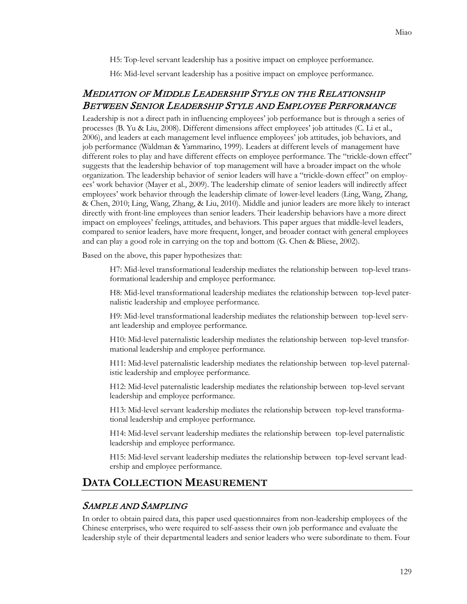H5: Top-level servant leadership has a positive impact on employee performance.

H6: Mid-level servant leadership has a positive impact on employee performance.

#### MEDIATION OF MIDDLE LEADERSHIP STYLE ON THE RELATIONSHIP BETWEEN SENIOR LEADERSHIP STYLE AND EMPLOYEE PERFORMANCE

Leadership is not a direct path in influencing employees' job performance but is through a series of processes (B. Yu & Liu, 2008). Different dimensions affect employees' job attitudes (C. Li et al., 2006), and leaders at each management level influence employees' job attitudes, job behaviors, and job performance (Waldman & Yammarino, 1999). Leaders at different levels of management have different roles to play and have different effects on employee performance. The "trickle-down effect" suggests that the leadership behavior of top management will have a broader impact on the whole organization. The leadership behavior of senior leaders will have a "trickle-down effect" on employees' work behavior (Mayer et al., 2009). The leadership climate of senior leaders will indirectly affect employees' work behavior through the leadership climate of lower-level leaders (Ling, Wang, Zhang, & Chen, 2010; Ling, Wang, Zhang, & Liu, 2010). Middle and junior leaders are more likely to interact directly with front-line employees than senior leaders. Their leadership behaviors have a more direct impact on employees' feelings, attitudes, and behaviors. This paper argues that middle-level leaders, compared to senior leaders, have more frequent, longer, and broader contact with general employees and can play a good role in carrying on the top and bottom (G. Chen & Bliese, 2002).

Based on the above, this paper hypothesizes that:

H7: Mid-level transformational leadership mediates the relationship between top-level transformational leadership and employee performance.

H8: Mid-level transformational leadership mediates the relationship between top-level paternalistic leadership and employee performance.

H9: Mid-level transformational leadership mediates the relationship between top-level servant leadership and employee performance.

H10: Mid-level paternalistic leadership mediates the relationship between top-level transformational leadership and employee performance.

H11: Mid-level paternalistic leadership mediates the relationship between top-level paternalistic leadership and employee performance.

H12: Mid-level paternalistic leadership mediates the relationship between top-level servant leadership and employee performance.

H13: Mid-level servant leadership mediates the relationship between top-level transformational leadership and employee performance.

H14: Mid-level servant leadership mediates the relationship between top-level paternalistic leadership and employee performance.

H15: Mid-level servant leadership mediates the relationship between top-level servant leadership and employee performance.

#### **DATA COLLECTION MEASUREMENT**

#### SAMPLE AND SAMPLING

In order to obtain paired data, this paper used questionnaires from non-leadership employees of the Chinese enterprises, who were required to self-assess their own job performance and evaluate the leadership style of their departmental leaders and senior leaders who were subordinate to them. Four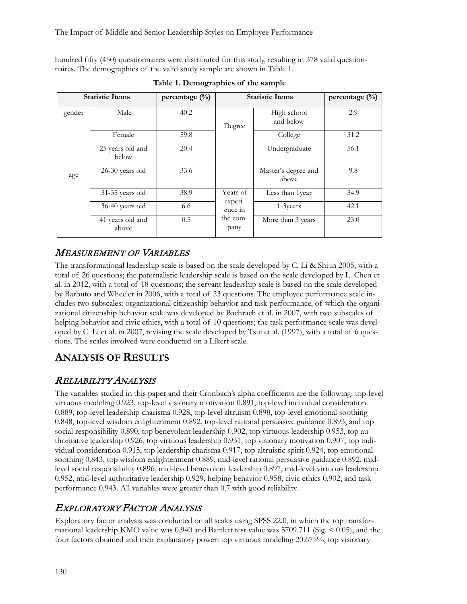hundred fifty (450) questionnaires were distributed for this study, resulting in 378 valid questionnaires. The demographics of the valid study sample are shown in Table 1.

|        | <b>Statistic Items</b>    | percentage $(\frac{0}{0})$ |                    | <b>Statistic Items</b>       | percentage (%) |
|--------|---------------------------|----------------------------|--------------------|------------------------------|----------------|
| gender | Male                      | 40.2                       | Degree             | High school<br>and below     | 2.9            |
|        | <b>Female</b>             | 59.8                       |                    | College                      | 31.2           |
|        | 25 years old and<br>below | 20.4                       |                    | Undergraduate                | 56.1           |
| age    | 26-30 years old           | 33.6                       |                    | Master's degree and<br>above | 9.8            |
|        | 31-35 years old           | 38.9                       | Years of           | Less than 1year              | 34.9           |
|        | 36-40 years old           | 6.6                        | experi-<br>ence in | 1-3years                     | 42.1           |
|        | 41 years old and<br>above | 0.5                        | the com-<br>pany   | More than 3 years            | 23.0           |

**Table 1. Demographics of the sample**

#### MEASUREMENT OF VARIABLES

The transformational leadership scale is based on the scale developed by C. Li & Shi in 2005, with a total of 26 questions; the paternalistic leadership scale is based on the scale developed by L. Chen et al. in 2012, with a total of 18 questions; the servant leadership scale is based on the scale developed by Barbuto and Wheeler in 2006, with a total of 23 questions. The employee performance scale includes two subscales: organizational citizenship behavior and task performance, of which the organizational citizenship behavior scale was developed by Bachrach et al. in 2007, with two subscales of helping behavior and civic ethics, with a total of 10 questions; the task performance scale was developed by C. Li et al. in 2007, revising the scale developed by Tsui et al. (1997), with a total of 6 questions. The scales involved were conducted on a Likert scale.

# **ANALYSIS OF RESULTS**

## RELIABILITY ANALYSIS

The variables studied in this paper and their Cronbach's alpha coefficients are the following: top-level virtuous modeling 0.923, top-level visionary motivation 0.891, top-level individual consideration 0.889, top-level leadership charisma 0.928, top-level altruism 0.898, top-level emotional soothing 0.848, top-level wisdom enlightenment 0.892, top-level rational persuasive guidance 0.893, and top social responsibility 0.890, top benevolent leadership 0.902, top virtuous leadership 0.953, top authoritative leadership 0.926, top virtuous leadership 0.931, top visionary motivation 0.907, top individual consideration 0.915, top leadership charisma 0.917, top altruistic spirit 0.924, top emotional soothing 0.843, top wisdom enlightenment 0.889, mid-level rational persuasive guidance 0.892, midlevel social responsibility 0.896, mid-level benevolent leadership 0.897, mid-level virtuous leadership 0.952, mid-level authoritative leadership 0.929, helping behavior 0.958, civic ethics 0.902, and task performance 0.943. All variables were greater than 0.7 with good reliability.

## EXPLORATORY FACTOR ANALYSIS

Exploratory factor analysis was conducted on all scales using SPSS 22.0, in which the top transformational leadership KMO value was  $0.940$  and Bartlett test value was  $5709.711$  (Sig.  $\leq 0.05$ ), and the four factors obtained and their explanatory power: top virtuous modeling 20.675%, top visionary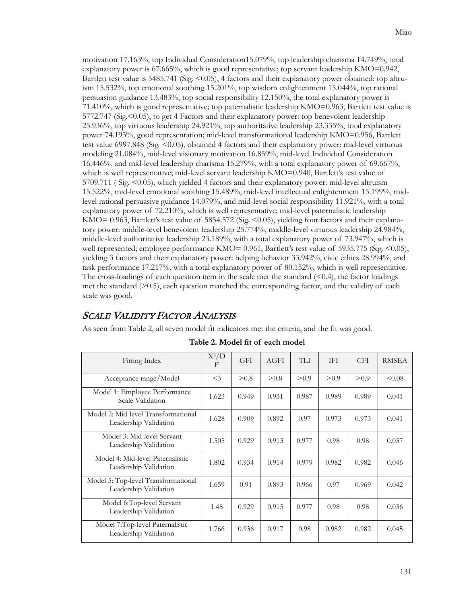motivation 17.163%, top Individual Consideration15.079%, top leadership charisma 14.749%, total explanatory power is 67.665%, which is good representative; top servant leadership KMO=0.942, Bartlett test value is 5485.741 (Sig. <0.05), 4 factors and their explanatory power obtained: top altruism 15.532%, top emotional soothing 15.201%, top wisdom enlightenment 15.044%, top rational persuasion guidance 13.483%, top social responsibility 12.150%, the total explanatory power is 71.410%, which is good representative; top paternalistic leadership KMO=0.963, Bartlett test value is 5772.747 (Sig. < 0.05), to get 4 Factors and their explanatory power: top benevolent leadership 25.936%, top virtuous leadership 24.921%, top authoritative leadership 23.335%, total explanatory power 74.193%, good representation; mid-level transformational leadership KMO=0.956, Bartlett test value 6997.848 (Sig.  $\leq 0.05$ ), obtained 4 factors and their explanatory power: mid-level virtuous modeling 21.084%, mid-level visionary motivation 16.859%, mid-level Individual Consideration 16.446%, and mid-level leadership charisma 15.279%, with a total explanatory power of 69.667%, which is well representative; mid-level servant leadership KMO=0.940, Bartlett's test value of  $5709.711$  (Sig.  $\leq 0.05$ ), which yielded 4 factors and their explanatory power: mid-level altruism 15.522%, mid-level emotional soothing 15.489%, mid-level intellectual enlightenment 15.199%, midlevel rational persuasive guidance 14.079%, and mid-level social responsibility 11.921%, with a total explanatory power of 72.210%, which is well representative; mid-level paternalistic leadership KMO= 0.963, Bartlett's test value of 5854.572 (Sig.  $\leq$  0.05), yielding four factors and their explanatory power: middle-level benevolent leadership 25.774%, middle-level virtuous leadership 24.984%, middle-level authoritative leadership 23.189%, with a total explanatory power of 73.947%, which is well represented; employee performance KMO= 0.961, Bartlett's test value of 5935.775 (Sig. <0.05), yielding 3 factors and their explanatory power: helping behavior 33.942%, civic ethics 28.994%, and task performance 17.217%, with a total explanatory power of 80.152%, which is well representative. The cross-loadings of each question item in the scale met the standard  $\leq 0.4$ ), the factor loadings met the standard  $(0.5)$ , each question matched the corresponding factor, and the validity of each scale was good.

#### SCALE VALIDITY FACTOR ANALYSIS

As seen from Table 2, all seven model fit indicators met the criteria, and the fit was good.

| Fitting Index                                                | $X^2/D$<br>F | <b>GFI</b> | AGFI  | <b>TLI</b> | <b>IFI</b> | <b>CFI</b> | <b>RMSEA</b> |
|--------------------------------------------------------------|--------------|------------|-------|------------|------------|------------|--------------|
| Acceptance range/Model                                       | $<$ 3        | > 0.8      | > 0.8 | > 0.9      | > 0.9      | > 0.9      | < 0.08       |
| Model 1: Employee Performance<br>Scale Validation            | 1.623        | 0.949      | 0.931 | 0.987      | 0.989      | 0.989      | 0.041        |
| Model 2: Mid-level Transformational<br>Leadership Validation | 1.628        | 0.909      | 0.892 | 0.97       | 0.973      | 0.973      | 0.041        |
| Model 3: Mid-level Servant<br>Leadership Validation          | 1.505        | 0.929      | 0.913 | 0.977      | 0.98       | 0.98       | 0.037        |
| Model 4: Mid-level Paternalistic<br>Leadership Validation    | 1.802        | 0.934      | 0.914 | 0.979      | 0.982      | 0.982      | 0.046        |
| Model 5: Top-level Transformational<br>Leadership Validation | 1.659        | 0.91       | 0.893 | 0.966      | 0.97       | 0.969      | 0.042        |
| Model 6:Top-level Servant<br>Leadership Validation           | 1.48         | 0.929      | 0.915 | 0.977      | 0.98       | 0.98       | 0.036        |
| Model 7:Top-level Paternalistic<br>Leadership Validation     | 1.766        | 0.936      | 0.917 | 0.98       | 0.982      | 0.982      | 0.045        |

#### **Table 2. Model fit of each model**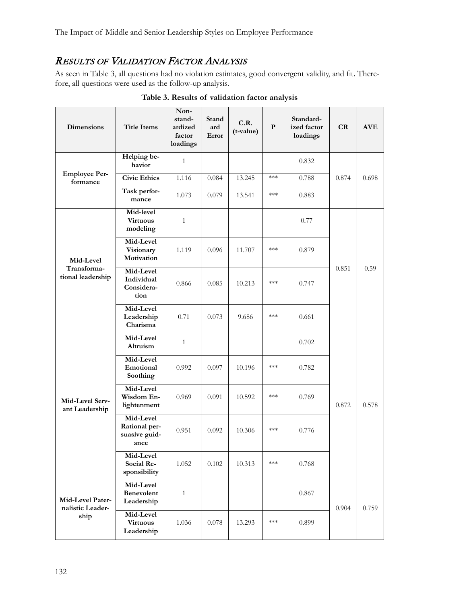## RESULTS OF VALIDATION FACTOR ANALYSIS

As seen in Table 3, all questions had no violation estimates, good convergent validity, and fit. Therefore, all questions were used as the follow-up analysis.

| Dimensions                           | <b>Title Items</b>                                  | Non-<br>stand-<br>ardized<br>factor<br>loadings | Stand<br>ard<br>Error | C.R.<br>(t-value) | P     | Standard-<br>ized factor<br>loadings | CR    | <b>AVE</b> |
|--------------------------------------|-----------------------------------------------------|-------------------------------------------------|-----------------------|-------------------|-------|--------------------------------------|-------|------------|
|                                      | Helping be-<br>havior                               | $\mathbf{1}$                                    |                       |                   |       | 0.832                                |       |            |
| <b>Employee Per-</b><br>formance     | <b>Civic Ethics</b>                                 | 1.116                                           | 0.084                 | 13.245            | $***$ | 0.788                                | 0.874 | 0.698      |
|                                      | Task perfor-<br>mance                               | 1.073                                           | 0.079                 | 13.541            | $***$ | 0.883                                |       |            |
|                                      | Mid-level<br><b>Virtuous</b><br>modeling            | $\mathbf{1}$                                    |                       |                   |       | 0.77                                 |       |            |
| Mid-Level                            | Mid-Level<br>Visionary<br>Motivation                | 1.119                                           | 0.096                 | 11.707            | $***$ | 0.879                                |       |            |
| Transforma-<br>tional leadership     | Mid-Level<br>Individual<br>Considera-<br>tion       | 0.866                                           | 0.085                 | 10.213            | $***$ | 0.747                                | 0.851 | 0.59       |
|                                      | Mid-Level<br>Leadership<br>Charisma                 | 0.71                                            | 0.073                 | 9.686             | $***$ | 0.661                                |       |            |
|                                      | Mid-Level<br>Altruism                               | $\mathbf{1}$                                    |                       |                   |       | 0.702                                |       |            |
|                                      | Mid-Level<br>Emotional<br>Soothing                  | 0.992                                           | 0.097                 | 10.196            | ***   | 0.782                                |       |            |
| Mid-Level Serv-<br>ant Leadership    | Mid-Level<br>Wisdom En-<br>lightenment              | 0.969                                           | 0.091                 | 10.592            | $***$ | 0.769                                | 0.872 | 0.578      |
|                                      | Mid-Level<br>Rational per-<br>suasive guid-<br>ance | 0.951                                           | 0.092                 | 10.306            | $***$ | 0.776                                |       |            |
|                                      | Mid-Level<br>Social Re-<br>sponsibility             | 1.052                                           | 0.102                 | 10.313            | $***$ | 0.768                                |       |            |
| Mid-Level Pater-<br>nalistic Leader- | Mid-Level<br><b>Benevolent</b><br>Leadership        | $\mathbf{1}$                                    |                       |                   |       | 0.867                                | 0.904 | 0.759      |
| ship                                 | Mid-Level<br><b>Virtuous</b><br>Leadership          | 1.036                                           | $0.078\,$             | 13.293            | $***$ | 0.899                                |       |            |

**Table 3. Results of validation factor analysis**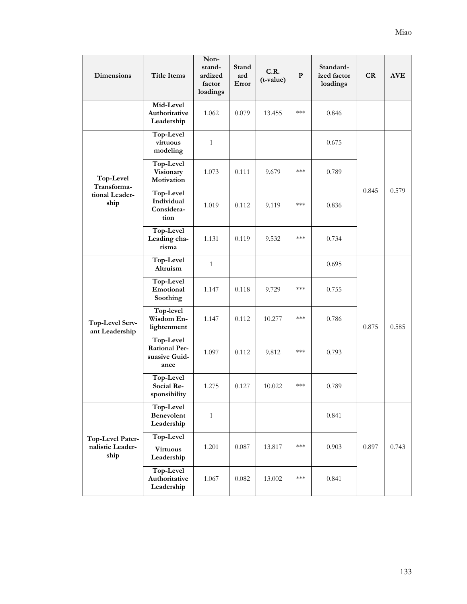| Dimensions                                   | <b>Title Items</b>                                         | Non-<br>stand-<br>ardized<br>factor<br>loadings | Stand<br>ard<br>Error | C.R.<br>(t-value) | $\mathbf{P}$       | Standard-<br>ized factor<br>loadings | CR    | <b>AVE</b> |
|----------------------------------------------|------------------------------------------------------------|-------------------------------------------------|-----------------------|-------------------|--------------------|--------------------------------------|-------|------------|
|                                              | Mid-Level<br>Authoritative<br>Leadership                   | 1.062                                           | 0.079                 | 13.455            | $***$              | 0.846                                |       |            |
|                                              | Top-Level<br>virtuous<br>modeling                          | $\mathbf{1}$                                    |                       |                   |                    | 0.675                                |       |            |
| Top-Level<br>Transforma-                     | Top-Level<br>Visionary<br>Motivation                       | 1.073                                           | 0.111                 | 9.679             | $***$              | 0.789                                |       |            |
| tional Leader-<br>ship                       | Top-Level<br>Individual<br>Considera-<br>tion              | 1.019                                           | 0.112                 | 9.119             | $***$              | 0.836                                | 0.845 | 0.579      |
|                                              | Top-Level<br>Leading cha-<br>risma                         | 1.131                                           | 0.119                 | 9.532             | $***$              | 0.734                                |       |            |
|                                              | Top-Level<br>Altruism                                      | $\mathbf{1}$                                    |                       |                   |                    | 0.695                                |       | 0.585      |
|                                              | Top-Level<br>Emotional<br>Soothing                         | 1.147                                           | 0.118                 | 9.729             | $***$              | 0.755                                |       |            |
| Top-Level Serv-<br>ant Leadership            | Top-level<br>Wisdom En-<br>lightenment                     | 1.147                                           | 0.112                 | 10.277            | $***$              | 0.786                                | 0.875 |            |
|                                              | Top-Level<br><b>Rational Per-</b><br>suasive Guid-<br>ance | 1.097                                           | 0.112                 | 9.812             | $***$              | 0.793                                |       |            |
|                                              | Top-Level<br>Social Re-<br>sponsibility                    | 1.275                                           | 0.127                 | 10.022            | $***$              | 0.789                                |       |            |
|                                              | Top-Level<br><b>Benevolent</b><br>Leadership               | $\mathbf{1}$                                    |                       |                   |                    | 0.841                                |       |            |
| Top-Level Pater-<br>nalistic Leader-<br>ship | Top-Level<br><b>Virtuous</b><br>Leadership                 | 1.201                                           | 0.087                 | 13.817            | $\ast\!\ast\!\ast$ | 0.903                                | 0.897 | 0.743      |
|                                              | Top-Level<br>Authoritative<br>Leadership                   | 1.067                                           | 0.082                 | 13.002            | $\ast\!\ast\!\ast$ | 0.841                                |       |            |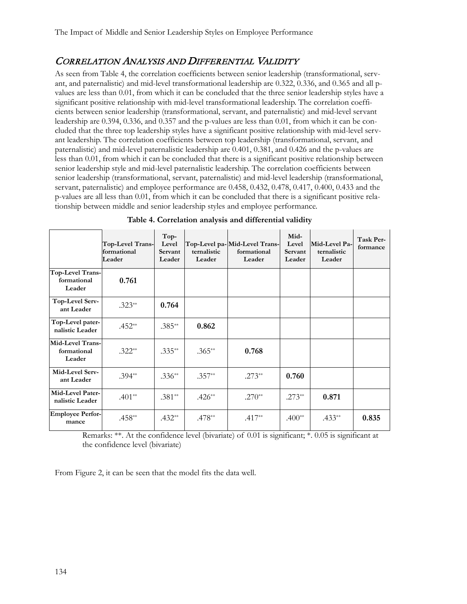#### CORRELATION ANALYSIS AND DIFFERENTIAL VALIDITY

As seen from Table 4, the correlation coefficients between senior leadership (transformational, servant, and paternalistic) and mid-level transformational leadership are 0.322, 0.336, and 0.365 and all pvalues are less than 0.01, from which it can be concluded that the three senior leadership styles have a significant positive relationship with mid-level transformational leadership. The correlation coefficients between senior leadership (transformational, servant, and paternalistic) and mid-level servant leadership are 0.394, 0.336, and 0.357 and the p-values are less than 0.01, from which it can be concluded that the three top leadership styles have a significant positive relationship with mid-level servant leadership. The correlation coefficients between top leadership (transformational, servant, and paternalistic) and mid-level paternalistic leadership are 0.401, 0.381, and 0.426 and the p-values are less than 0.01, from which it can be concluded that there is a significant positive relationship between senior leadership style and mid-level paternalistic leadership. The correlation coefficients between senior leadership (transformational, servant, paternalistic) and mid-level leadership (transformational, servant, paternalistic) and employee performance are 0.458, 0.432, 0.478, 0.417, 0.400, 0.433 and the p-values are all less than 0.01, from which it can be concluded that there is a significant positive relationship between middle and senior leadership styles and employee performance.

|                                           | Top-Level Trans-<br>formational<br>Leader | Top-<br>Level<br>Servant<br>Leader | ternalistic<br>Leader | Top-Level pa-Mid-Level Trans-<br>formational<br>Leader | Mid-<br>Level<br>Servant<br>Leader | Mid-Level Pa-<br>ternalistic<br>Leader | Task Per-<br>formance |
|-------------------------------------------|-------------------------------------------|------------------------------------|-----------------------|--------------------------------------------------------|------------------------------------|----------------------------------------|-----------------------|
| Top-Level Trans-<br>formational<br>Leader | 0.761                                     |                                    |                       |                                                        |                                    |                                        |                       |
| Top-Level Serv-<br>ant Leader             | $.323**$                                  | 0.764                              |                       |                                                        |                                    |                                        |                       |
| Top-Level pater-<br>nalistic Leader       | $.452**$                                  | $.385***$                          | 0.862                 |                                                        |                                    |                                        |                       |
| Mid-Level Trans-<br>formational<br>Leader | $.322**$                                  | $.335***$                          | $.365**$              | 0.768                                                  |                                    |                                        |                       |
| Mid-Level Serv-<br>ant Leader             | $.394**$                                  | $.336**$                           | $.357**$              | $.273**$                                               | 0.760                              |                                        |                       |
| Mid-Level Pater-<br>nalistic Leader       | $.401**$                                  | $.381**$                           | $.426**$              | $.270**$                                               | $.273**$                           | 0.871                                  |                       |
| <b>Employee Perfor-</b><br>mance          | $.458**$                                  | $.432**$                           | $.478**$              | $.417**$                                               | $.400**$                           | $.433**$                               | 0.835                 |

| Table 4. Correlation analysis and differential validity |  |  |
|---------------------------------------------------------|--|--|
|                                                         |  |  |

Remarks: \*\*. At the confidence level (bivariate) of 0.01 is significant; \*. 0.05 is significant at the confidence level (bivariate)

From Figure 2, it can be seen that the model fits the data well.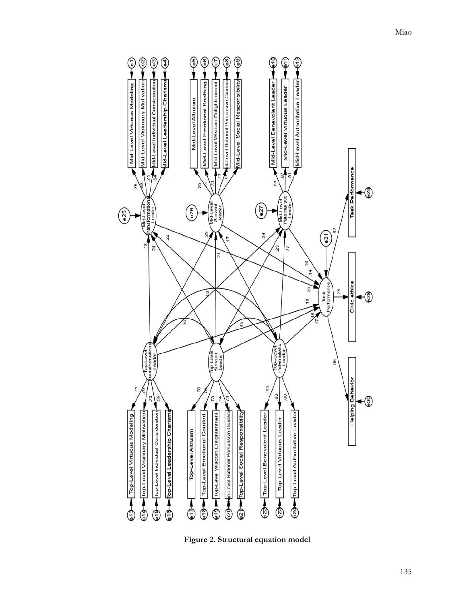

**Figure 2. Structural equation model**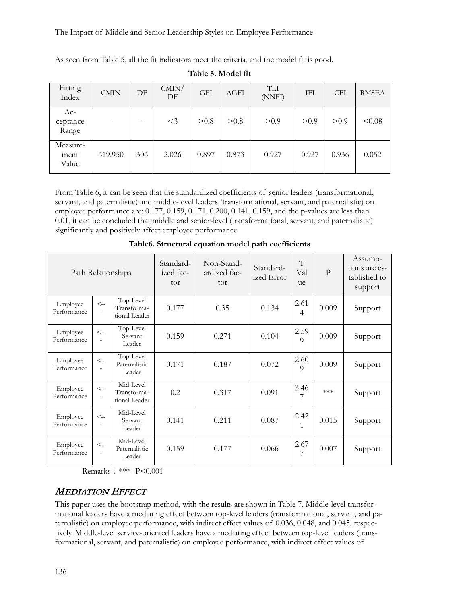The Impact of Middle and Senior Leadership Styles on Employee Performance

As seen from Table 5, all the fit indicators meet the criteria, and the model fit is good.

| Fitting<br>Index           | <b>CMIN</b> | DF  | CMIN/<br>DF | <b>GFI</b> | AGFI  | <b>TLI</b><br>(NNFI) | IFI   | <b>CFI</b> | <b>RMSEA</b> |
|----------------------------|-------------|-----|-------------|------------|-------|----------------------|-------|------------|--------------|
| $Ac-$<br>ceptance<br>Range |             | -   | $<$ 3       | > 0.8      | > 0.8 | > 0.9                | > 0.9 | > 0.9      | < 0.08       |
| Measure-<br>ment<br>Value  | 619.950     | 306 | 2.026       | 0.897      | 0.873 | 0.927                | 0.937 | 0.936      | 0.052        |

**Table 5. Model fit**

From Table 6, it can be seen that the standardized coefficients of senior leaders (transformational, servant, and paternalistic) and middle-level leaders (transformational, servant, and paternalistic) on employee performance are: 0.177, 0.159, 0.171, 0.200, 0.141, 0.159, and the p-values are less than 0.01, it can be concluded that middle and senior-level (transformational, servant, and paternalistic) significantly and positively affect employee performance.

| Path Relationships      |                                       | Standard-<br>ized fac-<br>tor             | Non-Stand-<br>ardized fac-<br>tor | Standard-<br>ized Error | T<br>Val<br>ue | $\mathbf{P}$ | Assump-<br>tions are es-<br>tablished to<br>support |         |
|-------------------------|---------------------------------------|-------------------------------------------|-----------------------------------|-------------------------|----------------|--------------|-----------------------------------------------------|---------|
| Employee<br>Performance | $\lt_{-}$<br>$\overline{\phantom{a}}$ | Top-Level<br>Transforma-<br>tional Leader | 0.177                             | 0.35                    | 0.134          | 2.61<br>4    | 0.009                                               | Support |
| Employee<br>Performance | $\lt_{-}$                             | Top-Level<br>Servant<br>Leader            | 0.159                             | 0.271                   | 0.104          | 2.59<br>9    | 0.009                                               | Support |
| Employee<br>Performance | $\lt_{\text{-}}$                      | Top-Level<br>Paternalistic<br>Leader      | 0.171                             | 0.187                   | 0.072          | 2.60<br>9    | 0.009                                               | Support |
| Employee<br>Performance | $\lt-$                                | Mid-Level<br>Transforma-<br>tional Leader | 0.2                               | 0.317                   | 0.091          | 3.46         | $***$                                               | Support |
| Employee<br>Performance | $\lt-$                                | Mid-Level<br>Servant<br>Leader            | 0.141                             | 0.211                   | 0.087          | 2.42         | 0.015                                               | Support |
| Employee<br>Performance | $\lt-$                                | Mid-Level<br>Paternalistic<br>Leader      | 0.159                             | 0.177                   | 0.066          | 2.67<br>7    | 0.007                                               | Support |

**Table6. Structural equation model path coefficients**

Remarks: \*\*\*=P< $0.001$ 

#### MEDIATION EFFECT

This paper uses the bootstrap method, with the results are shown in Table 7. Middle-level transformational leaders have a mediating effect between top-level leaders (transformational, servant, and paternalistic) on employee performance, with indirect effect values of 0.036, 0.048, and 0.045, respectively. Middle-level service-oriented leaders have a mediating effect between top-level leaders (transformational, servant, and paternalistic) on employee performance, with indirect effect values of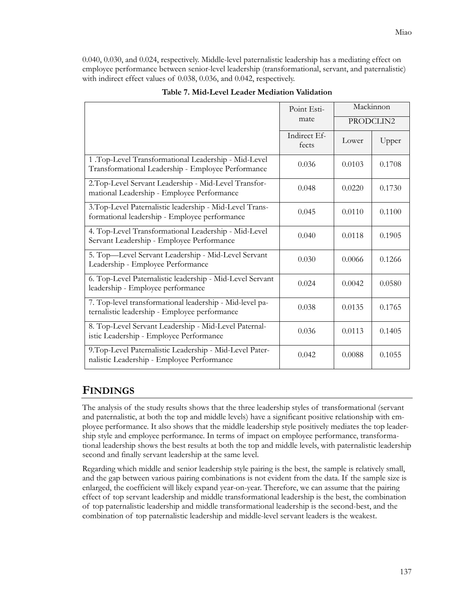0.040, 0.030, and 0.024, respectively. Middle-level paternalistic leadership has a mediating effect on employee performance between senior-level leadership (transformational, servant, and paternalistic) with indirect effect values of 0.038, 0.036, and 0.042, respectively.

|                                                                                                            | Point Esti-           | Mackinnon |           |  |
|------------------------------------------------------------------------------------------------------------|-----------------------|-----------|-----------|--|
|                                                                                                            | mate                  |           | PRODCLIN2 |  |
|                                                                                                            | Indirect Ef-<br>fects | Lower     | Upper     |  |
| 1 .Top-Level Transformational Leadership - Mid-Level<br>Transformational Leadership - Employee Performance | 0.036                 | 0.0103    | 0.1708    |  |
| 2. Top-Level Servant Leadership - Mid-Level Transfor-<br>mational Leadership - Employee Performance        | 0.048                 | 0.0220    | 0.1730    |  |
| 3. Top-Level Paternalistic leadership - Mid-Level Trans-<br>formational leadership - Employee performance  | 0.045                 | 0.0110    | 0.1100    |  |
| 4. Top-Level Transformational Leadership - Mid-Level<br>Servant Leadership - Employee Performance          | 0.040                 | 0.0118    | 0.1905    |  |
| 5. Top-Level Servant Leadership - Mid-Level Servant<br>Leadership - Employee Performance                   | 0.030                 | 0.0066    | 0.1266    |  |
| 6. Top-Level Paternalistic leadership - Mid-Level Servant<br>leadership - Employee performance             | 0.024                 | 0.0042    | 0.0580    |  |
| 7. Top-level transformational leadership - Mid-level pa-<br>ternalistic leadership - Employee performance  | 0.038                 | 0.0135    | 0.1765    |  |
| 8. Top-Level Servant Leadership - Mid-Level Paternal-<br>istic Leadership - Employee Performance           | 0.036                 | 0.0113    | 0.1405    |  |
| 9. Top-Level Paternalistic Leadership - Mid-Level Pater-<br>nalistic Leadership - Employee Performance     | 0.042                 | 0.0088    | 0.1055    |  |

#### **Table 7. Mid-Level Leader Mediation Validation**

#### **FINDINGS**

The analysis of the study results shows that the three leadership styles of transformational (servant and paternalistic, at both the top and middle levels) have a significant positive relationship with employee performance. It also shows that the middle leadership style positively mediates the top leadership style and employee performance. In terms of impact on employee performance, transformational leadership shows the best results at both the top and middle levels, with paternalistic leadership second and finally servant leadership at the same level.

Regarding which middle and senior leadership style pairing is the best, the sample is relatively small, and the gap between various pairing combinations is not evident from the data. If the sample size is enlarged, the coefficient will likely expand year-on-year. Therefore, we can assume that the pairing effect of top servant leadership and middle transformational leadership is the best, the combination of top paternalistic leadership and middle transformational leadership is the second-best, and the combination of top paternalistic leadership and middle-level servant leaders is the weakest.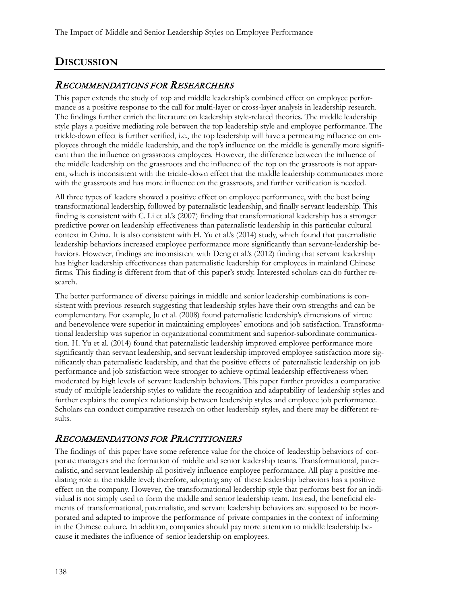# **DISCUSSION**

#### RECOMMENDATIONS FOR RESEARCHERS

This paper extends the study of top and middle leadership's combined effect on employee performance as a positive response to the call for multi-layer or cross-layer analysis in leadership research. The findings further enrich the literature on leadership style-related theories. The middle leadership style plays a positive mediating role between the top leadership style and employee performance. The trickle-down effect is further verified, i.e., the top leadership will have a permeating influence on employees through the middle leadership, and the top's influence on the middle is generally more significant than the influence on grassroots employees. However, the difference between the influence of the middle leadership on the grassroots and the influence of the top on the grassroots is not apparent, which is inconsistent with the trickle-down effect that the middle leadership communicates more with the grassroots and has more influence on the grassroots, and further verification is needed.

All three types of leaders showed a positive effect on employee performance, with the best being transformational leadership, followed by paternalistic leadership, and finally servant leadership. This finding is consistent with C. Li et al.'s (2007) finding that transformational leadership has a stronger predictive power on leadership effectiveness than paternalistic leadership in this particular cultural context in China. It is also consistent with H. Yu et al.'s (2014) study, which found that paternalistic leadership behaviors increased employee performance more significantly than servant-leadership behaviors. However, findings are inconsistent with Deng et al.'s (2012) finding that servant leadership has higher leadership effectiveness than paternalistic leadership for employees in mainland Chinese firms. This finding is different from that of this paper's study. Interested scholars can do further research.

The better performance of diverse pairings in middle and senior leadership combinations is consistent with previous research suggesting that leadership styles have their own strengths and can be complementary. For example, Ju et al. (2008) found paternalistic leadership's dimensions of virtue and benevolence were superior in maintaining employees' emotions and job satisfaction. Transformational leadership was superior in organizational commitment and superior-subordinate communication. H. Yu et al. (2014) found that paternalistic leadership improved employee performance more significantly than servant leadership, and servant leadership improved employee satisfaction more significantly than paternalistic leadership, and that the positive effects of paternalistic leadership on job performance and job satisfaction were stronger to achieve optimal leadership effectiveness when moderated by high levels of servant leadership behaviors. This paper further provides a comparative study of multiple leadership styles to validate the recognition and adaptability of leadership styles and further explains the complex relationship between leadership styles and employee job performance. Scholars can conduct comparative research on other leadership styles, and there may be different results.

#### RECOMMENDATIONS FOR PRACTITIONERS

The findings of this paper have some reference value for the choice of leadership behaviors of corporate managers and the formation of middle and senior leadership teams. Transformational, paternalistic, and servant leadership all positively influence employee performance. All play a positive mediating role at the middle level; therefore, adopting any of these leadership behaviors has a positive effect on the company. However, the transformational leadership style that performs best for an individual is not simply used to form the middle and senior leadership team. Instead, the beneficial elements of transformational, paternalistic, and servant leadership behaviors are supposed to be incorporated and adapted to improve the performance of private companies in the context of informing in the Chinese culture. In addition, companies should pay more attention to middle leadership because it mediates the influence of senior leadership on employees.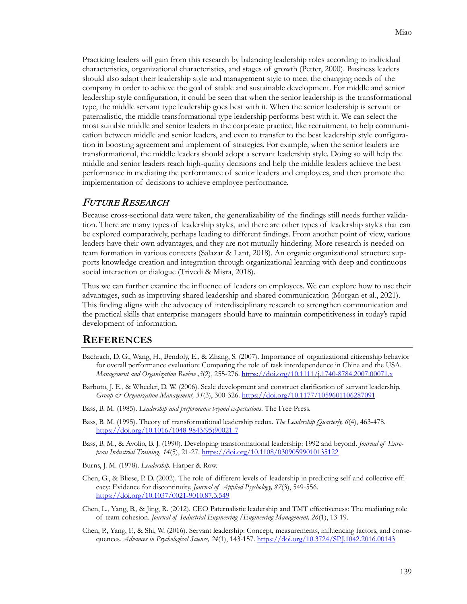Practicing leaders will gain from this research by balancing leadership roles according to individual characteristics, organizational characteristics, and stages of growth (Petter, 2000). Business leaders should also adapt their leadership style and management style to meet the changing needs of the company in order to achieve the goal of stable and sustainable development. For middle and senior leadership style configuration, it could be seen that when the senior leadership is the transformational type, the middle servant type leadership goes best with it. When the senior leadership is servant or paternalistic, the middle transformational type leadership performs best with it. We can select the most suitable middle and senior leaders in the corporate practice, like recruitment, to help communication between middle and senior leaders, and even to transfer to the best leadership style configuration in boosting agreement and implement of strategies. For example, when the senior leaders are transformational, the middle leaders should adopt a servant leadership style. Doing so will help the middle and senior leaders reach high-quality decisions and help the middle leaders achieve the best performance in mediating the performance of senior leaders and employees, and then promote the implementation of decisions to achieve employee performance.

#### FUTURE RESEARCH

Because cross-sectional data were taken, the generalizability of the findings still needs further validation. There are many types of leadership styles, and there are other types of leadership styles that can be explored comparatively, perhaps leading to different findings. From another point of view, various leaders have their own advantages, and they are not mutually hindering. More research is needed on team formation in various contexts (Salazar & Lant, 2018). An organic organizational structure supports knowledge creation and integration through organizational learning with deep and continuous social interaction or dialogue (Trivedi & Misra, 2018).

Thus we can further examine the influence of leaders on employees. We can explore how to use their advantages, such as improving shared leadership and shared communication (Morgan et al., 2021). This finding aligns with the advocacy of interdisciplinary research to strengthen communication and the practical skills that enterprise managers should have to maintain competitiveness in today's rapid development of information.

#### **REFERENCES**

- Bachrach, D. G., Wang, H., Bendoly, E., & Zhang, S. (2007). Importance of organizational citizenship behavior for overall performance evaluation: Comparing the role of task interdependence in China and the USA. *Management and Organization Review ,3*(2), 255-276. [https://doi.org/10.1111/j.1740](https://doi.org/10.1111/j.1740-8784.2007.00071.x)-8784.2007.00071.x
- Barbuto, J. E., & Wheeler, D. W. (2006). Scale development and construct clarification of servant leadership. *Group & Organization Management, 31*(3), 300-326. <https://doi.org/10.1177/1059601106287091>
- Bass, B. M. (1985). *Leadership and performance beyond expectations*. The Free Press.
- Bass, B. M. (1995). Theory of transformational leadership redux. *The Leadership Quarterly, 6*(4), 463-478. [https://doi.org/10.1016/1048](https://doi.org/10.1016/1048-9843(95)90021-7)-9843(95)90021-7
- Bass, B. M., & Avolio, B. J. (1990). Developing transformational leadership: 1992 and beyond. *Journal of European Industrial Training, 14*(5), 21-27. <https://doi.org/10.1108/03090599010135122>
- Burns, J. M. (1978). *Leadership.* Harper & Row.
- Chen, G., & Bliese, P. D. (2002). The role of different levels of leadership in predicting self-and collective efficacy: Evidence for discontinuity. *Journal of Applied Psychology, 87*(3), 549-556. [https://doi.org/10.1037/0021](https://doi.org/10.1037/0021-9010.87.3.549)-9010.87.3.549
- Chen, L., Yang, B., & Jing, R. (2012). CEO Paternalistic leadership and TMT effectiveness: The mediating role of team cohesion. *Journal of Industrial Engineering /Engineering Management, 26*(1), 13-19.
- Chen, P., Yang, F., & Shi, W. (2016). Servant leadership: Concept, measurements, influencing factors, and consequences. *Advances in Psychological Science, 24*(1), 143-157. <https://doi.org/10.3724/SP.J.1042.2016.00143>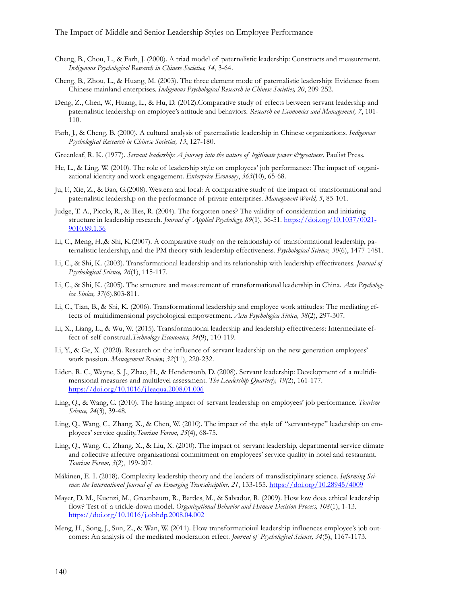- Cheng, B., Chou, L., & Farh, J. (2000). A triad model of paternalistic leadership: Constructs and measurement. *Indigenous Psychological Research in Chinese Societies, 14*, 3-64.
- Cheng, B., Zhou, L., & Huang, M. (2003). The three element mode of paternalistic leadership: Evidence from Chinese mainland enterprises. *Indigenous Psychological Research in Chinese Societies, 20*, 209-252.
- Deng, Z., Chen, W., Huang, L., & Hu, D. (2012).Comparative study of effects between servant leadership and paternalistic leadership on employee's attitude and behaviors. *Research on Economics and Management, 7*, 101- 110.
- Farh, J., & Cheng, B. (2000). A cultural analysis of paternalistic leadership in Chinese organizations. *Indigenous Psychological Research in Chinese Societies, 13*, 127-180.
- Greenleaf, R. K. (1977). *Servant leadership: A journey into the nature of legitimate power &greatness*. Paulist Press.
- He, L., & Ling, W. (2010). The role of leadership style on employees' job performance: The impact of organizational identity and work engagement. *Enterprise Economy*, *363*(10), 65-68.
- Ju, F., Xie, Z., & Bao, G.(2008). Western and local: A comparative study of the impact of transformational and paternalistic leadership on the performance of private enterprises. *Management World, 5*, 85-101.
- Judge, T. A., Picclo, R., & Ilies, R. (2004). The forgotten ones? The validity of consideration and initiating structure in leadership research. *Journal of Applied Psychology, 89*(1), 36-51. [https://doi.org/10.1037/0021](https://doi.org/10.1037/0021-9010.89.1.36)- [9010.89.1.36](https://doi.org/10.1037/0021-9010.89.1.36)
- Li, C., Meng, H.,& Shi, K.(2007). A comparative study on the relationship of transformational leadership, paternalistic leadership, and the PM theory with leadership effectiveness. *Psychological Science, 30*(6), 1477-1481.
- Li, C., & Shi, K. (2003). Transformational leadership and its relationship with leadership effectiveness. *Journal of Psychological Science, 26*(1), 115-117.
- Li, C., & Shi, K. (2005). The structure and measurement of transformational leadership in China. *Acta Psychologica Sinica, 37*(6),803-811.
- Li, C., Tian, B., & Shi, K. (2006). Transformational leadership and employee work attitudes: The mediating effects of multidimensional psychological empowerment. *Acta Psychologica Sinica, 38*(2), 297-307.
- Li, X., Liang, L., & Wu, W. (2015). Transformational leadership and leadership effectiveness: Intermediate effect of self-construal.*Technology Economics, 34*(9), 110-119.
- Li, Y., & Ge, X. (2020). Research on the influence of servant leadership on the new generation employees' work passion. *Management Review, 32*(11), 220-232.
- Liden, R. C., Wayne, S. J., Zhao, H., & [Hendersonb,](https://www.sciencedirect.com/science/article/pii/S1048984308000040#!) D. (2008). Servant leadership: Development of a multidimensional measures and multilevel assessment. *The Leadership Quarterly, 19(*2), 161-177. <https://doi.org/10.1016/j.leaqua.2008.01.006>
- Ling, Q., & Wang, C. (2010). The lasting impact of servant leadership on employees' job performance. *Tourism Science, 24*(3), 39-48.
- Ling, Q., Wang, C., Zhang, X., & Chen, W. (2010). The impact of the style of "servant-type" leadership on employees' service quality.*Tourism Forum, 25*(4), 68-75.
- Ling, Q., Wang, C., Zhang, X., & Liu, X. (2010). The impact of servant leadership, departmental service climate and collective affective organizational commitment on employees' service quality in hotel and restaurant. *Tourism Forum, 3*(2), 199-207.
- Mäkinen, E. I. (2018). Complexity leadership theory and the leaders of transdisciplinary science. *Informing Science: the International Journal of an Emerging Transdiscipline, 21*, 133-155. <https://doi.org/10.28945/4009>
- Mayer, D. M., Kuenzi, M., Greenbaum, R., Bardes, M., & Salvador, R. (2009). How low does ethical leadership flow? Test of a trickle-down model. *Organizational Behavior and Human Decision Process, 108*(1), 1-13. <https://doi.org/10.1016/j.obhdp.2008.04.002>
- Meng, H., Song, J., Sun, Z., & Wan, W. (2011). How transformatioiuil leadership influences employee's job outcomes: An analysis of the mediated moderation effect. *Journal of Psychological Science, 34*(5), 1167-1173.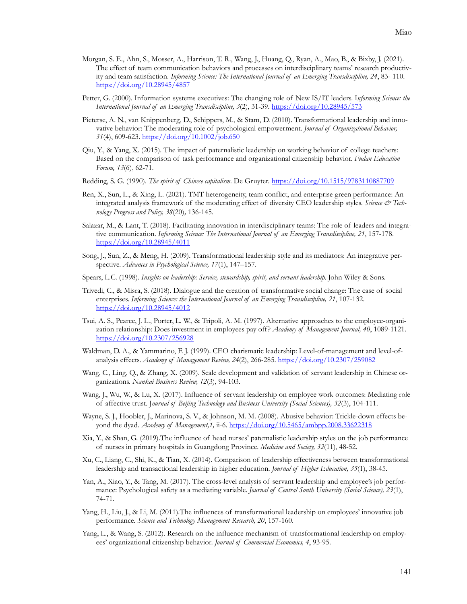- Morgan, S. E., Ahn, S., Mosser, A., Harrison, T. R., Wang, J., Huang, Q., Ryan, A., Mao, B., & Bixby, J. (2021). The effect of team communication behaviors and processes on interdisciplinary teams' research productivity and team satisfaction. *Informing Science: The International Journal of an Emerging Transdiscipline, 24*, 83- 110. <https://doi.org/10.28945/4857>
- Petter, G. (2000). Information systems executives: The changing role of New IS/IT leaders. I*nforming Science: the International Journal of an Emerging Transdiscipline, 3*(2), 31-39. <https://doi.org/10.28945/573>
- Pieterse, A. N., van Knippenberg, D., Schippers, M., & Stam, D. (2010). Transformational leadership and innovative behavior: The moderating role of psychological empowerment. *Journal of Organizational Behavior, 31*(4), 609-623.<https://doi.org/10.1002/job.650>
- Qiu, Y., & Yang, X. (2015). The impact of paternalistic leadership on working behavior of college teachers: Based on the comparison of task performance and organizational citizenship behavior. *Fudan Education Forum, 13*(6), 62-71.
- Redding, S. G. (1990). *The spirit of Chinese capitalism*. De Gruyter.<https://doi.org/10.1515/9783110887709>
- Ren, X., Sun, L., & Xing, L. (2021). TMT heterogeneity, team conflict, and enterprise green performance: An integrated analysis framework of the moderating effect of diversity CEO leadership styles. *Science*  $\dot{\mathcal{O}}$  Tech*nology Progress and Policy, 38*(20), 136-145.
- Salazar, M., & Lant, T. (2018). Facilitating innovation in interdisciplinary teams: The role of leaders and integrative communication. *[Informing Science: The International Journal of an Emerging Transdiscipline,](https://www.informingscience.org/Journals/InformingSciJ/Articles) 21*, 157-178. <https://doi.org/10.28945/4011>
- Song, J., Sun, Z., & Meng, H. (2009). Transformational leadership style and its mediators: An integrative perspective. *Advances in Psychological Science, 17*(1), 147–157.
- Spears, L.C. (1998). *Insights on leadership: Service, stewardship, spirit, and servant leadership.* John Wiley & Sons.
- Trivedi, C., & Misra, S. (2018). Dialogue and the creation of transformative social change: The case of social enterprises. *Informing Science: the International Journal of an Emerging Transdiscipline, 21*, 107-132. <https://doi.org/10.28945/4012>
- Tsui, A. S., Pearce, J. L., Porter, L. W., & Tripoli, A. M. (1997). Alternative approaches to the employee-organization relationship: Does investment in employees pay off? *Academy of Management Journal, 40*, 1089-1121. <https://doi.org/10.2307/256928>
- Waldman, D. A., & Yammarino, F. J. (1999). CEO charismatic leadership: Level-of-management and level-ofanalysis effects. *Academy of Management Review, 24*(2), 266-285. <https://doi.org/10.2307/259082>
- Wang, C., Ling, Q., & Zhang, X. (2009). Scale development and validation of servant leadership in Chinese organizations. *Nankai Business Review, 12*(3), 94-103.
- Wang, J., Wu, W., & Lu, X. (2017). Influence of servant leadership on employee work outcomes: Mediating role of affective trust. J*ournal of Beijing Technology and Business University (Social Sciences), 32*(3), 104-111.
- Wayne, S. J., Hoobler, J., Marinova, S. V., & Johnson, M. M. (2008). Abusive behavior: Trickle-down effects beyond the dyad. *Academy of Management,1,* ii-6. <https://doi.org/10.5465/ambpp.2008.33622318>
- Xia, Y., & Shan, G. (2019).The influence of head nurses' paternalistic leadership styles on the job performance of nurses in primary hospitals in Guangdong Province. *Medicine and Society, 32*(11), 48-52.
- Xu, C., Liang, C., Shi, K., & Tian, X. (2014). Comparison of leadership effectiveness between transformational leadership and transactional leadership in higher education. *Journal of Higher Education, 35*(1), 38-45.
- Yan, A., Xiao, Y., & Tang, M. (2017). The cross-level analysis of servant leadership and employee's job performance: Psychological safety as a mediating variable. *Journal of Central South University (Social Science), 23*(1), 74-71.
- Yang, H., Liu, J., & Li, M. (2011).The influences of transformational leadership on employees' innovative job performance. *Science and Technology Management Research, 20*, 157-160.
- Yang, L., & Wang, S. (2012). Research on the influence mechanism of transformational leadership on employees' organizational citizenship behavior. *Journal of Commercial Economics, 4*, 93-95.